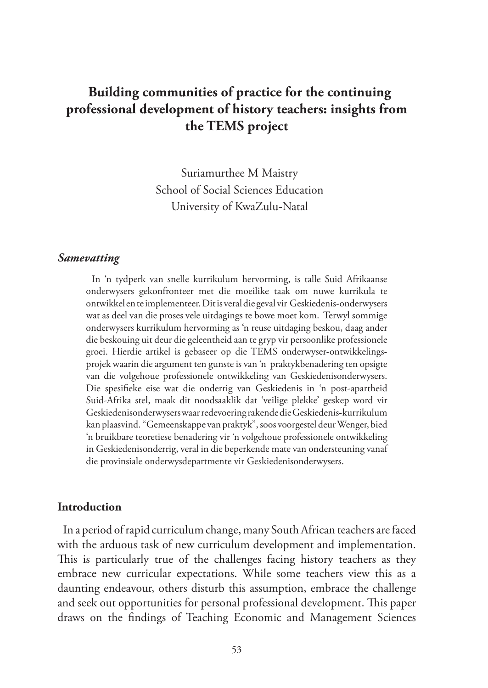# **Building communities of practice for the continuing professional development of history teachers: insights from the TEMS project**

Suriamurthee M Maistry School of Social Sciences Education University of KwaZulu-Natal

#### *Samevatting*

In 'n tydperk van snelle kurrikulum hervorming, is talle Suid Afrikaanse onderwysers gekonfronteer met die moeilike taak om nuwe kurrikula te ontwikkel en te implementeer. Dit is veral die geval vir Geskiedenis-onderwysers wat as deel van die proses vele uitdagings te bowe moet kom. Terwyl sommige onderwysers kurrikulum hervorming as 'n reuse uitdaging beskou, daag ander die beskouing uit deur die geleentheid aan te gryp vir persoonlike professionele groei. Hierdie artikel is gebaseer op die TEMS onderwyser-ontwikkelingsprojek waarin die argument ten gunste is van 'n praktykbenadering ten opsigte van die volgehoue professionele ontwikkeling van Geskiedenisonderwysers. Die spesifieke eise wat die onderrig van Geskiedenis in 'n post-apartheid Suid-Afrika stel, maak dit noodsaaklik dat 'veilige plekke' geskep word vir Geskiedenisonderwysers waar redevoering rakende die Geskiedenis-kurrikulum kan plaasvind. "Gemeenskappe van praktyk", soos voorgestel deur Wenger, bied 'n bruikbare teoretiese benadering vir 'n volgehoue professionele ontwikkeling in Geskiedenisonderrig, veral in die beperkende mate van ondersteuning vanaf die provinsiale onderwysdepartmente vir Geskiedenisonderwysers.

#### **Introduction**

In a period of rapid curriculum change, many South African teachers are faced with the arduous task of new curriculum development and implementation. This is particularly true of the challenges facing history teachers as they embrace new curricular expectations. While some teachers view this as a daunting endeavour, others disturb this assumption, embrace the challenge and seek out opportunities for personal professional development. This paper draws on the findings of Teaching Economic and Management Sciences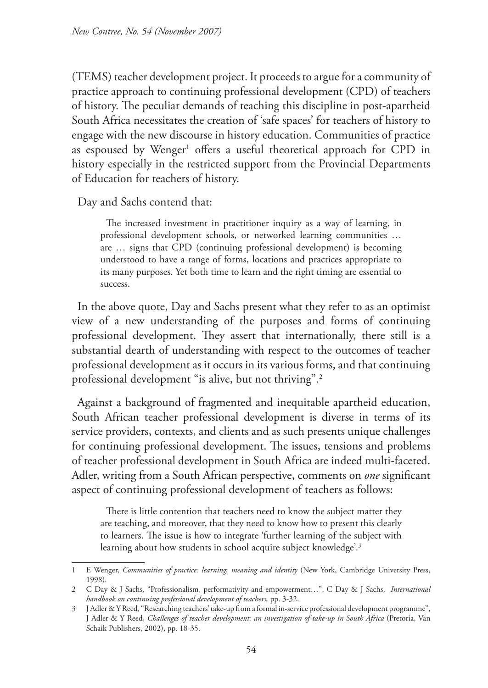(TEMS) teacher development project. It proceeds to argue for a community of practice approach to continuing professional development (CPD) of teachers of history. The peculiar demands of teaching this discipline in post-apartheid South Africa necessitates the creation of 'safe spaces' for teachers of history to engage with the new discourse in history education. Communities of practice as espoused by Wenger<sup>1</sup> offers a useful theoretical approach for CPD in history especially in the restricted support from the Provincial Departments of Education for teachers of history.

Day and Sachs contend that:

The increased investment in practitioner inquiry as a way of learning, in professional development schools, or networked learning communities … are … signs that CPD (continuing professional development) is becoming understood to have a range of forms, locations and practices appropriate to its many purposes. Yet both time to learn and the right timing are essential to success.

In the above quote, Day and Sachs present what they refer to as an optimist view of a new understanding of the purposes and forms of continuing professional development. They assert that internationally, there still is a substantial dearth of understanding with respect to the outcomes of teacher professional development as it occurs in its various forms, and that continuing professional development "is alive, but not thriving".2

Against a background of fragmented and inequitable apartheid education, South African teacher professional development is diverse in terms of its service providers, contexts, and clients and as such presents unique challenges for continuing professional development. The issues, tensions and problems of teacher professional development in South Africa are indeed multi-faceted. Adler, writing from a South African perspective, comments on *one* significant aspect of continuing professional development of teachers as follows:

There is little contention that teachers need to know the subject matter they are teaching, and moreover, that they need to know how to present this clearly to learners. The issue is how to integrate 'further learning of the subject with learning about how students in school acquire subject knowledge'*. 3*

<sup>1</sup> E Wenger, *Communities of practice: learning, meaning and identity* (New York, Cambridge University Press, 1998).

<sup>2</sup> C Day & J Sachs, "Professionalism, performativity and empowerment…", C Day & J Sachs, *International handbook on continuing professional development of teachers,* pp. 3-32.

<sup>3</sup> J Adler & Y Reed, "Researching teachers' take-up from a formal in-service professional development programme", J Adler & Y Reed, *Challenges of teacher development: an investigation of take-up in South Africa* (Pretoria, Van Schaik Publishers, 2002), pp. 18-35.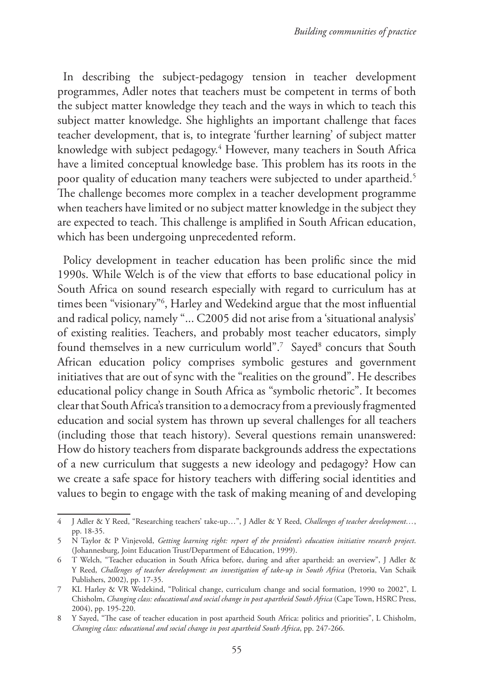In describing the subject-pedagogy tension in teacher development programmes, Adler notes that teachers must be competent in terms of both the subject matter knowledge they teach and the ways in which to teach this subject matter knowledge. She highlights an important challenge that faces teacher development, that is, to integrate 'further learning' of subject matter knowledge with subject pedagogy.4 However, many teachers in South Africa have a limited conceptual knowledge base. This problem has its roots in the poor quality of education many teachers were subjected to under apartheid.5 The challenge becomes more complex in a teacher development programme when teachers have limited or no subject matter knowledge in the subject they are expected to teach. This challenge is amplified in South African education, which has been undergoing unprecedented reform.

Policy development in teacher education has been prolific since the mid 1990s. While Welch is of the view that efforts to base educational policy in South Africa on sound research especially with regard to curriculum has at times been "visionary"6 , Harley and Wedekind argue that the most influential and radical policy, namely "... C2005 did not arise from a 'situational analysis' of existing realities. Teachers, and probably most teacher educators, simply found themselves in a new curriculum world".<sup>7</sup> Sayed<sup>8</sup> concurs that South African education policy comprises symbolic gestures and government initiatives that are out of sync with the "realities on the ground". He describes educational policy change in South Africa as "symbolic rhetoric". It becomes clear that South Africa's transition to a democracy from a previously fragmented education and social system has thrown up several challenges for all teachers (including those that teach history). Several questions remain unanswered: How do history teachers from disparate backgrounds address the expectations of a new curriculum that suggests a new ideology and pedagogy? How can we create a safe space for history teachers with differing social identities and values to begin to engage with the task of making meaning of and developing

<sup>4</sup> J Adler & Y Reed, "Researching teachers' take-up…", J Adler & Y Reed, *Challenges of teacher development…*, pp. 18-35.

<sup>5</sup> N Taylor & P Vinjevold, *Getting learning right: report of the president's education initiative research project*. (Johannesburg, Joint Education Trust/Department of Education, 1999).

<sup>6</sup> T Welch, "Teacher education in South Africa before, during and after apartheid: an overview", J Adler & Y Reed, *Challenges of teacher development: an investigation of take-up in South Africa* (Pretoria, Van Schaik Publishers, 2002), pp. 17-35.

<sup>7</sup> KL Harley & VR Wedekind, "Political change, curriculum change and social formation, 1990 to 2002", L Chisholm, *Changing class: educational and social change in post apartheid South Africa* (Cape Town, HSRC Press, 2004), pp. 195-220.

<sup>8</sup> Y Sayed, "The case of teacher education in post apartheid South Africa: politics and priorities", L Chisholm, *Changing class: educational and social change in post apartheid South Africa*, pp. 247-266.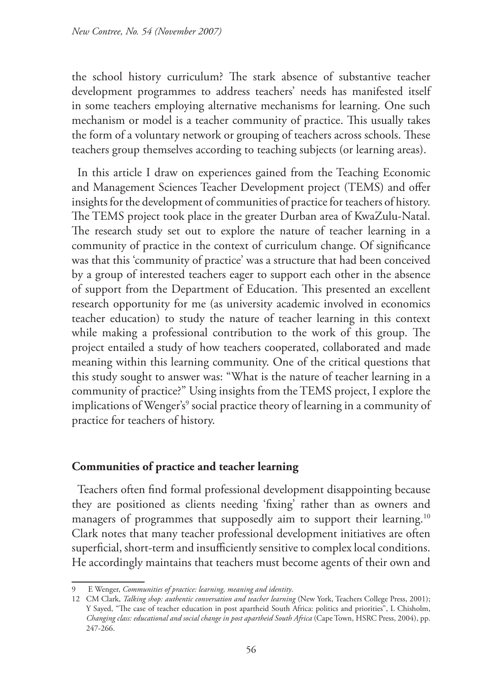the school history curriculum? The stark absence of substantive teacher development programmes to address teachers' needs has manifested itself in some teachers employing alternative mechanisms for learning. One such mechanism or model is a teacher community of practice. This usually takes the form of a voluntary network or grouping of teachers across schools. These teachers group themselves according to teaching subjects (or learning areas).

In this article I draw on experiences gained from the Teaching Economic and Management Sciences Teacher Development project (TEMS) and offer insights for the development of communities of practice for teachers of history. The TEMS project took place in the greater Durban area of KwaZulu-Natal. The research study set out to explore the nature of teacher learning in a community of practice in the context of curriculum change. Of significance was that this 'community of practice' was a structure that had been conceived by a group of interested teachers eager to support each other in the absence of support from the Department of Education. This presented an excellent research opportunity for me (as university academic involved in economics teacher education) to study the nature of teacher learning in this context while making a professional contribution to the work of this group. The project entailed a study of how teachers cooperated, collaborated and made meaning within this learning community. One of the critical questions that this study sought to answer was: "What is the nature of teacher learning in a community of practice?" Using insights from the TEMS project, I explore the implications of Wenger's<sup>9</sup> social practice theory of learning in a community of practice for teachers of history.

### **Communities of practice and teacher learning**

Teachers often find formal professional development disappointing because they are positioned as clients needing 'fixing' rather than as owners and managers of programmes that supposedly aim to support their learning.<sup>10</sup> Clark notes that many teacher professional development initiatives are often superficial, short-term and insufficiently sensitive to complex local conditions. He accordingly maintains that teachers must become agents of their own and

<sup>9</sup> E Wenger, *Communities of practice: learning, meaning and identity*.

<sup>12</sup> CM Clark, *Talking shop: authentic conversation and teacher learning* (New York, Teachers College Press, 2001); Y Sayed, "The case of teacher education in post apartheid South Africa: politics and priorities", L Chisholm, *Changing class: educational and social change in post apartheid South Africa* (Cape Town, HSRC Press, 2004), pp. 247-266.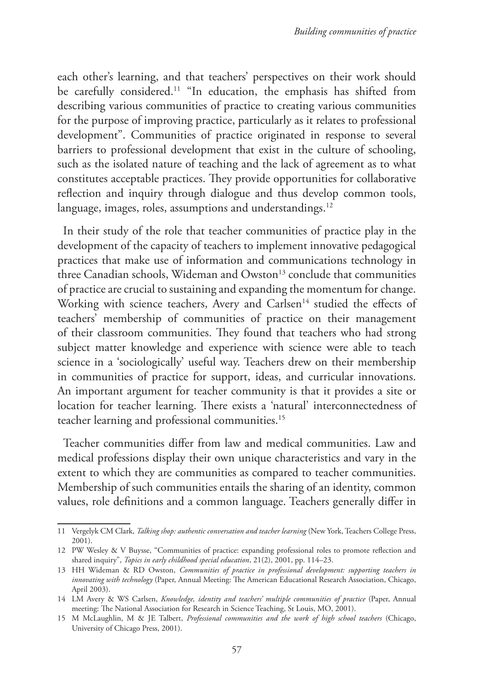each other's learning, and that teachers' perspectives on their work should be carefully considered.11 "In education, the emphasis has shifted from describing various communities of practice to creating various communities for the purpose of improving practice, particularly as it relates to professional development". Communities of practice originated in response to several barriers to professional development that exist in the culture of schooling, such as the isolated nature of teaching and the lack of agreement as to what constitutes acceptable practices. They provide opportunities for collaborative reflection and inquiry through dialogue and thus develop common tools, language, images, roles, assumptions and understandings.<sup>12</sup>

In their study of the role that teacher communities of practice play in the development of the capacity of teachers to implement innovative pedagogical practices that make use of information and communications technology in three Canadian schools, Wideman and  $Owston<sup>13</sup>$  conclude that communities of practice are crucial to sustaining and expanding the momentum for change. Working with science teachers, Avery and Carlsen<sup>14</sup> studied the effects of teachers' membership of communities of practice on their management of their classroom communities. They found that teachers who had strong subject matter knowledge and experience with science were able to teach science in a 'sociologically' useful way. Teachers drew on their membership in communities of practice for support, ideas, and curricular innovations. An important argument for teacher community is that it provides a site or location for teacher learning. There exists a 'natural' interconnectedness of teacher learning and professional communities.<sup>15</sup>

Teacher communities differ from law and medical communities. Law and medical professions display their own unique characteristics and vary in the extent to which they are communities as compared to teacher communities. Membership of such communities entails the sharing of an identity, common values, role definitions and a common language. Teachers generally differ in

<sup>11</sup> Vergelyk CM Clark, *Talking shop: authentic conversation and teacher learning* (New York, Teachers College Press, 2001).

<sup>12</sup> PW Wesley & V Buysse, "Communities of practice: expanding professional roles to promote reflection and shared inquiry", *Topics in early childhood special education*, 21(2), 2001, pp. 114–23.

<sup>13</sup> HH Wideman & RD Owston, *Communities of practice in professional development: supporting teachers in innovating with technology* (Paper, Annual Meeting: The American Educational Research Association, Chicago, April 2003).

<sup>14</sup> LM Avery & WS Carlsen, *Knowledge, identity and teachers' multiple communities of practice* (Paper, Annual meeting: The National Association for Research in Science Teaching, St Louis, MO, 2001).

<sup>15</sup> M McLaughlin, M & JE Talbert, *Professional communities and the work of high school teachers* (Chicago, University of Chicago Press, 2001).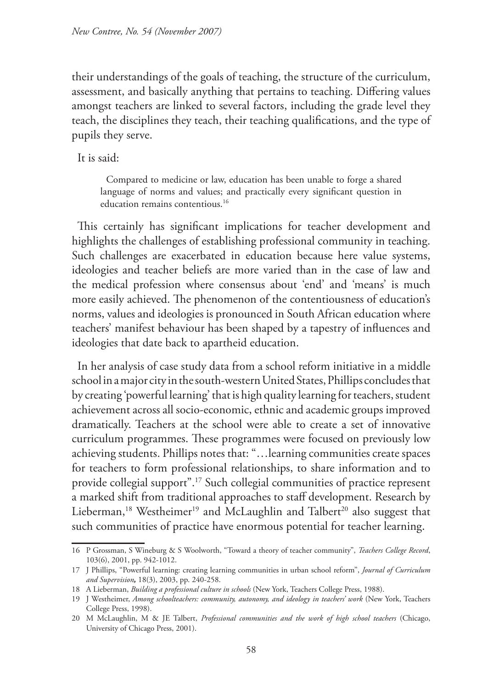their understandings of the goals of teaching, the structure of the curriculum, assessment, and basically anything that pertains to teaching. Differing values amongst teachers are linked to several factors, including the grade level they teach, the disciplines they teach, their teaching qualifications, and the type of pupils they serve.

It is said:

Compared to medicine or law, education has been unable to forge a shared language of norms and values; and practically every significant question in education remains contentious.<sup>16</sup>

This certainly has significant implications for teacher development and highlights the challenges of establishing professional community in teaching. Such challenges are exacerbated in education because here value systems, ideologies and teacher beliefs are more varied than in the case of law and the medical profession where consensus about 'end' and 'means' is much more easily achieved. The phenomenon of the contentiousness of education's norms, values and ideologies is pronounced in South African education where teachers' manifest behaviour has been shaped by a tapestry of influences and ideologies that date back to apartheid education.

In her analysis of case study data from a school reform initiative in a middle school in a major city in the south-western United States, Phillips concludes that by creating 'powerful learning' that is high quality learning for teachers, student achievement across all socio-economic, ethnic and academic groups improved dramatically. Teachers at the school were able to create a set of innovative curriculum programmes. These programmes were focused on previously low achieving students. Phillips notes that: "…learning communities create spaces for teachers to form professional relationships, to share information and to provide collegial support".17 Such collegial communities of practice represent a marked shift from traditional approaches to staff development. Research by Lieberman,<sup>18</sup> Westheimer<sup>19</sup> and McLaughlin and Talbert<sup>20</sup> also suggest that such communities of practice have enormous potential for teacher learning.

<sup>16</sup> P Grossman, S Wineburg & S Woolworth, "Toward a theory of teacher community", *Teachers College Record*, 103(6), 2001, pp. 942-1012.

<sup>17</sup> J Phillips, "Powerful learning: creating learning communities in urban school reform", *Journal of Curriculum and Supervision,* 18(3), 2003, pp. 240-258.

<sup>18</sup> A Lieberman, *Building a professional culture in schools* (New York, Teachers College Press, 1988).

<sup>19</sup> J Westheimer, *Among schoolteachers: community, autonomy, and ideology in teachers' work* (New York, Teachers College Press, 1998).

<sup>20</sup> M McLaughlin, M & JE Talbert, *Professional communities and the work of high school teachers* (Chicago, University of Chicago Press, 2001).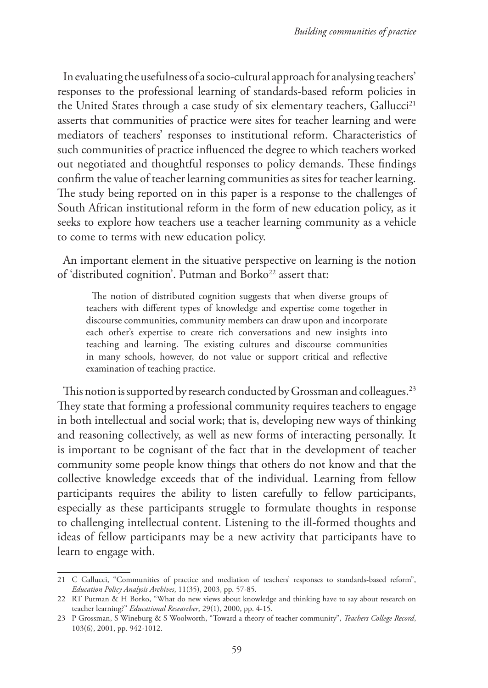In evaluating the usefulness of a socio-cultural approach for analysing teachers' responses to the professional learning of standards-based reform policies in the United States through a case study of six elementary teachers, Gallucci<sup>21</sup> asserts that communities of practice were sites for teacher learning and were mediators of teachers' responses to institutional reform. Characteristics of such communities of practice influenced the degree to which teachers worked out negotiated and thoughtful responses to policy demands. These findings confirm the value of teacher learning communities as sites for teacher learning. The study being reported on in this paper is a response to the challenges of South African institutional reform in the form of new education policy, as it seeks to explore how teachers use a teacher learning community as a vehicle to come to terms with new education policy.

An important element in the situative perspective on learning is the notion of 'distributed cognition'. Putman and Borko<sup>22</sup> assert that:

The notion of distributed cognition suggests that when diverse groups of teachers with different types of knowledge and expertise come together in discourse communities, community members can draw upon and incorporate each other's expertise to create rich conversations and new insights into teaching and learning. The existing cultures and discourse communities in many schools, however, do not value or support critical and reflective examination of teaching practice.

This notion is supported by research conducted by Grossman and colleagues.<sup>23</sup> They state that forming a professional community requires teachers to engage in both intellectual and social work; that is, developing new ways of thinking and reasoning collectively, as well as new forms of interacting personally. It is important to be cognisant of the fact that in the development of teacher community some people know things that others do not know and that the collective knowledge exceeds that of the individual. Learning from fellow participants requires the ability to listen carefully to fellow participants, especially as these participants struggle to formulate thoughts in response to challenging intellectual content. Listening to the ill-formed thoughts and ideas of fellow participants may be a new activity that participants have to learn to engage with.

<sup>21</sup> C Gallucci, "Communities of practice and mediation of teachers' responses to standards-based reform", *Education Policy Analysis Archives*, 11(35), 2003, pp. 57-85.

<sup>22</sup> RT Putman & H Borko, "What do new views about knowledge and thinking have to say about research on teacher learning?" *Educational Researcher*, 29(1), 2000, pp. 4-15.

<sup>23</sup> P Grossman, S Wineburg & S Woolworth, "Toward a theory of teacher community", *Teachers College Record*, 103(6), 2001, pp. 942-1012.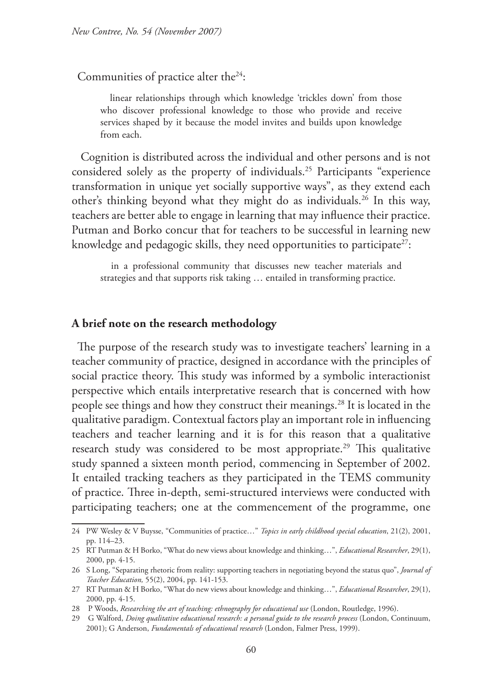Communities of practice alter the<sup>24</sup>:

 linear relationships through which knowledge 'trickles down' from those who discover professional knowledge to those who provide and receive services shaped by it because the model invites and builds upon knowledge from each.

 Cognition is distributed across the individual and other persons and is not considered solely as the property of individuals.25 Participants "experience transformation in unique yet socially supportive ways", as they extend each other's thinking beyond what they might do as individuals.26 In this way, teachers are better able to engage in learning that may influence their practice. Putman and Borko concur that for teachers to be successful in learning new knowledge and pedagogic skills, they need opportunities to participate<sup>27</sup>:

 in a professional community that discusses new teacher materials and strategies and that supports risk taking … entailed in transforming practice.

#### **A brief note on the research methodology**

The purpose of the research study was to investigate teachers' learning in a teacher community of practice, designed in accordance with the principles of social practice theory. This study was informed by a symbolic interactionist perspective which entails interpretative research that is concerned with how people see things and how they construct their meanings.28 It is located in the qualitative paradigm. Contextual factors play an important role in influencing teachers and teacher learning and it is for this reason that a qualitative research study was considered to be most appropriate.<sup>29</sup> This qualitative study spanned a sixteen month period, commencing in September of 2002. It entailed tracking teachers as they participated in the TEMS community of practice. Three in-depth, semi-structured interviews were conducted with participating teachers; one at the commencement of the programme, one

<sup>24</sup> PW Wesley & V Buysse, "Communities of practice…" *Topics in early childhood special education*, 21(2), 2001, pp. 114–23.

<sup>25</sup> RT Putman & H Borko, "What do new views about knowledge and thinking…", *Educational Researcher*, 29(1), 2000, pp. 4-15.

<sup>26</sup> S Long, "Separating rhetoric from reality: supporting teachers in negotiating beyond the status quo", *Journal of Teacher Education,* 55(2), 2004, pp. 141-153.

<sup>27</sup> RT Putman & H Borko, "What do new views about knowledge and thinking…", *Educational Researcher*, 29(1), 2000, pp. 4-15.

<sup>28</sup> P Woods, *Researching the art of teaching: ethnography for educational use* (London, Routledge, 1996).

<sup>29</sup> G Walford, *Doing qualitative educational research: a personal guide to the research process* (London, Continuum, 2001); G Anderson, *Fundamentals of educational research* (London, Falmer Press, 1999).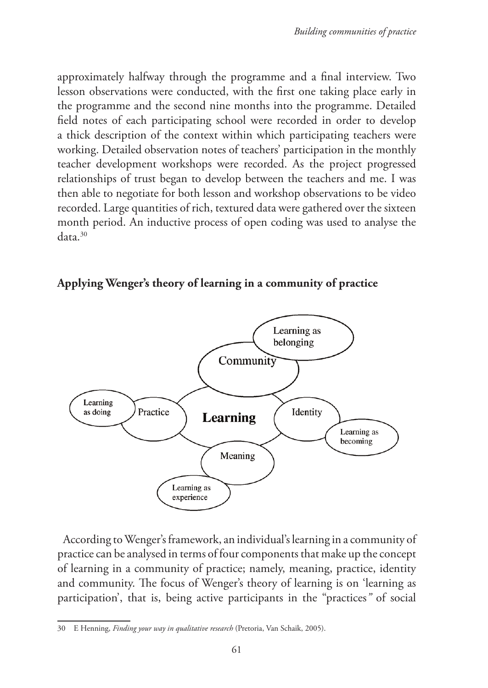approximately halfway through the programme and a final interview. Two lesson observations were conducted, with the first one taking place early in the programme and the second nine months into the programme. Detailed field notes of each participating school were recorded in order to develop a thick description of the context within which participating teachers were working. Detailed observation notes of teachers' participation in the monthly teacher development workshops were recorded. As the project progressed relationships of trust began to develop between the teachers and me. I was then able to negotiate for both lesson and workshop observations to be video recorded. Large quantities of rich, textured data were gathered over the sixteen month period. An inductive process of open coding was used to analyse the data.30

### **Applying Wenger's theory of learning in a community of practice**



According to Wenger's framework, an individual's learning in a community of practice can be analysed in terms of four components that make up the concept of learning in a community of practice; namely, meaning, practice, identity and community. The focus of Wenger's theory of learning is on 'learning as participation', that is, being active participants in the "practices*"* of social

<sup>30</sup> E Henning, *Finding your way in qualitative research* (Pretoria, Van Schaik, 2005).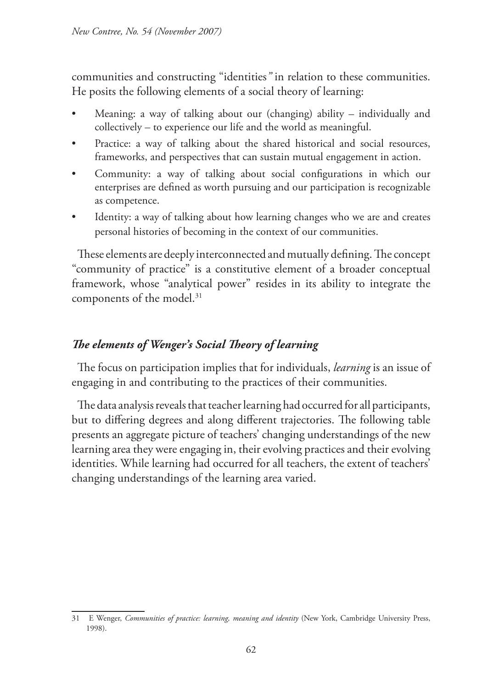communities and constructing "identities*"* in relation to these communities. He posits the following elements of a social theory of learning:

- Meaning: a way of talking about our (changing) ability individually and collectively – to experience our life and the world as meaningful.
- Practice: a way of talking about the shared historical and social resources, frameworks, and perspectives that can sustain mutual engagement in action.
- Community: a way of talking about social configurations in which our enterprises are defined as worth pursuing and our participation is recognizable as competence.
- Identity: a way of talking about how learning changes who we are and creates personal histories of becoming in the context of our communities.

These elements are deeply interconnected and mutually defining. The concept "community of practice" is a constitutive element of a broader conceptual framework, whose "analytical power" resides in its ability to integrate the components of the model.<sup>31</sup>

# *The elements of Wenger's Social Theory of learning*

The focus on participation implies that for individuals, *learning* is an issue of engaging in and contributing to the practices of their communities.

The data analysis reveals that teacher learning had occurred for all participants, but to differing degrees and along different trajectories. The following table presents an aggregate picture of teachers' changing understandings of the new learning area they were engaging in, their evolving practices and their evolving identities. While learning had occurred for all teachers, the extent of teachers' changing understandings of the learning area varied.

<sup>31</sup> E Wenger, *Communities of practice: learning, meaning and identity* (New York, Cambridge University Press, 1998).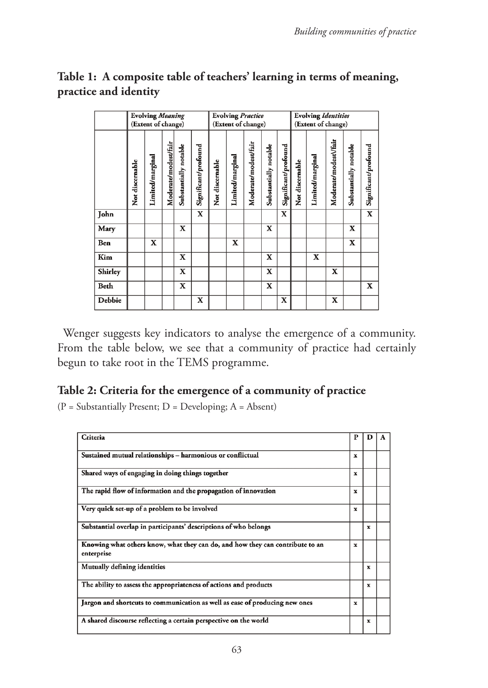|         | <b>Evolving Meaning</b><br>(Extent of change) |                  |                      |                       |                      | <b>Evolving Practice</b><br>(Extent of change) |                  |                      |                       |                      | <b>Evolving Identities</b><br>(Extent of change) |                  |                       |                       |                      |
|---------|-----------------------------------------------|------------------|----------------------|-----------------------|----------------------|------------------------------------------------|------------------|----------------------|-----------------------|----------------------|--------------------------------------------------|------------------|-----------------------|-----------------------|----------------------|
|         | Not discernable                               | Limited/marginal | Moderate/modest/fair | Substantially notable | Significant/profound | Not discernable                                | Limited/marginal | Moderate/modest/fair | Substantially notable | Significant/profound | Not discernable                                  | Limited/marginal | Moderate/modest\/fair | Substantially notable | Significant/profound |
| John    |                                               |                  |                      |                       | $\mathbf x$          |                                                |                  |                      |                       | $\mathbf x$          |                                                  |                  |                       |                       | X                    |
| Mary    |                                               |                  |                      | X                     |                      |                                                |                  |                      | X                     |                      |                                                  |                  |                       | X                     |                      |
| Ben     |                                               | X                |                      |                       |                      |                                                | X                |                      |                       |                      |                                                  |                  |                       | $\mathbf x$           |                      |
| Kim     |                                               |                  |                      | X                     |                      |                                                |                  |                      | X                     |                      |                                                  | X                |                       |                       |                      |
| Shirley |                                               |                  |                      | X                     |                      |                                                |                  |                      | X                     |                      |                                                  |                  | X                     |                       |                      |
| Beth    |                                               |                  |                      | $\mathbf X$           |                      |                                                |                  |                      | $\mathbf x$           |                      |                                                  |                  |                       |                       | X                    |
| Debbie  |                                               |                  |                      |                       | X                    |                                                |                  |                      |                       | X                    |                                                  |                  | $\mathbf x$           |                       |                      |

# **Table 1: A composite table of teachers' learning in terms of meaning, practice and identity**

Wenger suggests key indicators to analyse the emergence of a community. From the table below, we see that a community of practice had certainly begun to take root in the TEMS programme.

## **Table 2: Criteria for the emergence of a community of practice**

 $(P = Substantially Present; D = Development; A = Absent)$ 

| Criteria                                                                                    | Р           |             |  |  |
|---------------------------------------------------------------------------------------------|-------------|-------------|--|--|
| Sustained mutual relationships - harmonious or conflictual                                  |             |             |  |  |
| Shared ways of engaging in doing things together                                            | x           |             |  |  |
| The rapid flow of information and the propagation of innovation                             | x           |             |  |  |
| Very quick set-up of a problem to be involved                                               | $\mathbf x$ |             |  |  |
| Substantial overlap in participants' descriptions of who belongs                            |             | $\mathbf x$ |  |  |
| Knowing what others know, what they can do, and how they can contribute to an<br>enterprise | $\mathbf x$ |             |  |  |
| Mutually defining identities                                                                |             | $\mathbf x$ |  |  |
| The ability to assess the appropriateness of actions and products                           |             | x           |  |  |
| Jargon and shortcuts to communication as well as ease of producing new ones                 | x           |             |  |  |
| A shared discourse reflecting a certain perspective on the world                            |             | x           |  |  |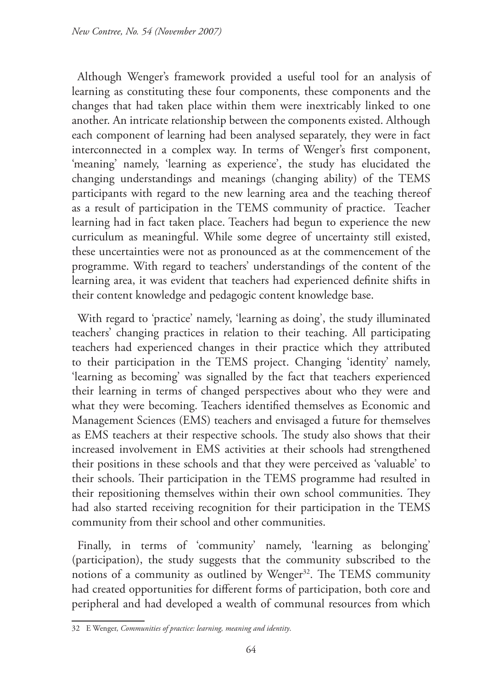Although Wenger's framework provided a useful tool for an analysis of learning as constituting these four components, these components and the changes that had taken place within them were inextricably linked to one another. An intricate relationship between the components existed. Although each component of learning had been analysed separately, they were in fact interconnected in a complex way. In terms of Wenger's first component, 'meaning' namely, 'learning as experience', the study has elucidated the changing understandings and meanings (changing ability) of the TEMS participants with regard to the new learning area and the teaching thereof as a result of participation in the TEMS community of practice. Teacher learning had in fact taken place. Teachers had begun to experience the new curriculum as meaningful. While some degree of uncertainty still existed, these uncertainties were not as pronounced as at the commencement of the programme. With regard to teachers' understandings of the content of the learning area, it was evident that teachers had experienced definite shifts in their content knowledge and pedagogic content knowledge base.

With regard to 'practice' namely, 'learning as doing', the study illuminated teachers' changing practices in relation to their teaching. All participating teachers had experienced changes in their practice which they attributed to their participation in the TEMS project. Changing 'identity' namely, 'learning as becoming' was signalled by the fact that teachers experienced their learning in terms of changed perspectives about who they were and what they were becoming. Teachers identified themselves as Economic and Management Sciences (EMS) teachers and envisaged a future for themselves as EMS teachers at their respective schools. The study also shows that their increased involvement in EMS activities at their schools had strengthened their positions in these schools and that they were perceived as 'valuable' to their schools. Their participation in the TEMS programme had resulted in their repositioning themselves within their own school communities. They had also started receiving recognition for their participation in the TEMS community from their school and other communities.

Finally, in terms of 'community' namely, 'learning as belonging' (participation), the study suggests that the community subscribed to the notions of a community as outlined by Wenger<sup>32</sup>. The TEMS community had created opportunities for different forms of participation, both core and peripheral and had developed a wealth of communal resources from which

<sup>32</sup> E Wenger, *Communities of practice: learning, meaning and identity*.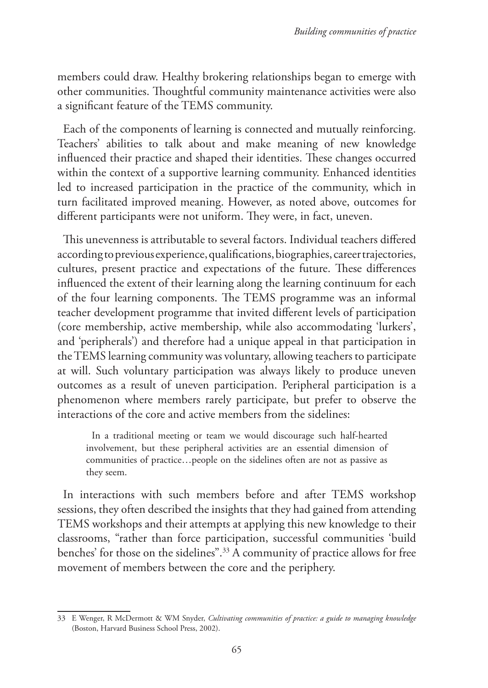members could draw. Healthy brokering relationships began to emerge with other communities. Thoughtful community maintenance activities were also a significant feature of the TEMS community.

Each of the components of learning is connected and mutually reinforcing. Teachers' abilities to talk about and make meaning of new knowledge influenced their practice and shaped their identities. These changes occurred within the context of a supportive learning community. Enhanced identities led to increased participation in the practice of the community, which in turn facilitated improved meaning. However, as noted above, outcomes for different participants were not uniform. They were, in fact, uneven.

This unevenness is attributable to several factors. Individual teachers differed according to previous experience, qualifications, biographies, career trajectories, cultures, present practice and expectations of the future. These differences influenced the extent of their learning along the learning continuum for each of the four learning components. The TEMS programme was an informal teacher development programme that invited different levels of participation (core membership, active membership, while also accommodating 'lurkers', and 'peripherals') and therefore had a unique appeal in that participation in the TEMS learning community was voluntary, allowing teachers to participate at will. Such voluntary participation was always likely to produce uneven outcomes as a result of uneven participation. Peripheral participation is a phenomenon where members rarely participate, but prefer to observe the interactions of the core and active members from the sidelines:

In a traditional meeting or team we would discourage such half-hearted involvement, but these peripheral activities are an essential dimension of communities of practice…people on the sidelines often are not as passive as they seem.

In interactions with such members before and after TEMS workshop sessions, they often described the insights that they had gained from attending TEMS workshops and their attempts at applying this new knowledge to their classrooms, "rather than force participation, successful communities 'build benches' for those on the sidelines".33 A community of practice allows for free movement of members between the core and the periphery.

<sup>33</sup> E Wenger, R McDermott & WM Snyder, *Cultivating communities of practice: a guide to managing knowledge* (Boston, Harvard Business School Press, 2002).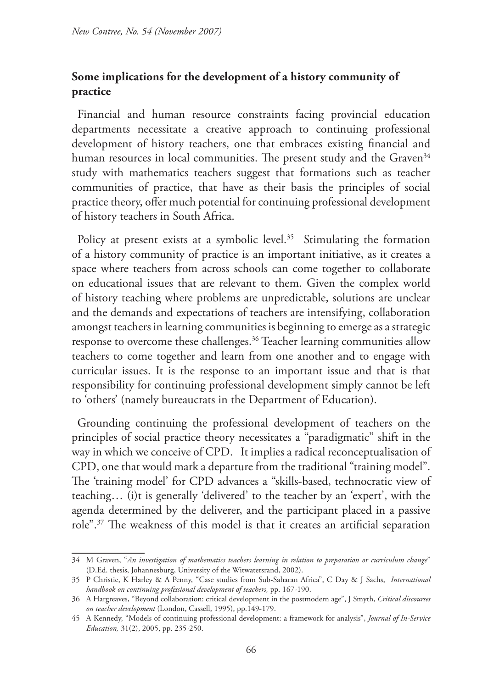## **Some implications for the development of a history community of practice**

Financial and human resource constraints facing provincial education departments necessitate a creative approach to continuing professional development of history teachers, one that embraces existing financial and human resources in local communities. The present study and the Graven<sup>34</sup> study with mathematics teachers suggest that formations such as teacher communities of practice, that have as their basis the principles of social practice theory, offer much potential for continuing professional development of history teachers in South Africa.

Policy at present exists at a symbolic level.<sup>35</sup> Stimulating the formation of a history community of practice is an important initiative, as it creates a space where teachers from across schools can come together to collaborate on educational issues that are relevant to them. Given the complex world of history teaching where problems are unpredictable, solutions are unclear and the demands and expectations of teachers are intensifying, collaboration amongst teachers in learning communities is beginning to emerge as a strategic response to overcome these challenges.<sup>36</sup> Teacher learning communities allow teachers to come together and learn from one another and to engage with curricular issues. It is the response to an important issue and that is that responsibility for continuing professional development simply cannot be left to 'others' (namely bureaucrats in the Department of Education).

Grounding continuing the professional development of teachers on the principles of social practice theory necessitates a "paradigmatic" shift in the way in which we conceive of CPD. It implies a radical reconceptualisation of CPD, one that would mark a departure from the traditional "training model". The 'training model' for CPD advances a "skills-based, technocratic view of teaching… (i)t is generally 'delivered' to the teacher by an 'expert', with the agenda determined by the deliverer, and the participant placed in a passive role".37 The weakness of this model is that it creates an artificial separation

<sup>34</sup> M Graven, "*An investigation of mathematics teachers learning in relation to preparation or curriculum change*" (D.Ed. thesis, Johannesburg, University of the Witwatersrand, 2002).

<sup>35</sup> P Christie, K Harley & A Penny, "Case studies from Sub-Saharan Africa", C Day & J Sachs, *International handbook on continuing professional development of teachers,* pp. 167-190.

<sup>36</sup> A Hargreaves, "Beyond collaboration: critical development in the postmodern age", J Smyth, *Critical discourses on teacher development* (London, Cassell, 1995), pp.149-179.

<sup>45</sup> A Kennedy, "Models of continuing professional development: a framework for analysis", *Journal of In-Service Education,* 31(2), 2005, pp. 235-250.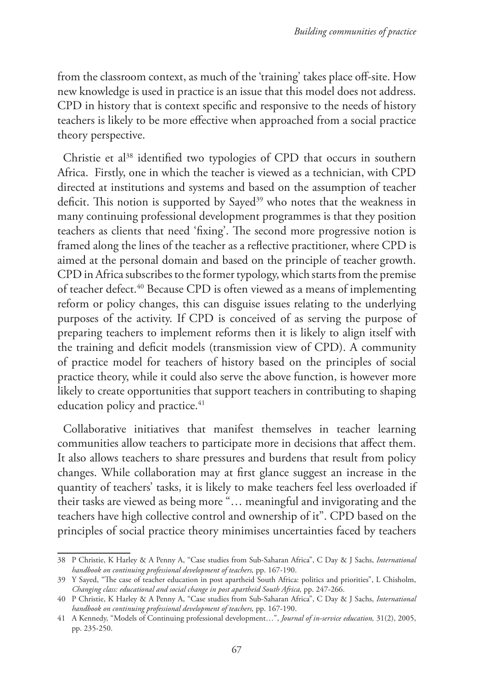from the classroom context, as much of the 'training' takes place off-site. How new knowledge is used in practice is an issue that this model does not address. CPD in history that is context specific and responsive to the needs of history teachers is likely to be more effective when approached from a social practice theory perspective.

Christie et al<sup>38</sup> identified two typologies of CPD that occurs in southern Africa. Firstly, one in which the teacher is viewed as a technician, with CPD directed at institutions and systems and based on the assumption of teacher deficit. This notion is supported by Sayed<sup>39</sup> who notes that the weakness in many continuing professional development programmes is that they position teachers as clients that need 'fixing'. The second more progressive notion is framed along the lines of the teacher as a reflective practitioner, where CPD is aimed at the personal domain and based on the principle of teacher growth. CPD in Africa subscribes to the former typology, which starts from the premise of teacher defect.40 Because CPD is often viewed as a means of implementing reform or policy changes, this can disguise issues relating to the underlying purposes of the activity. If CPD is conceived of as serving the purpose of preparing teachers to implement reforms then it is likely to align itself with the training and deficit models (transmission view of CPD). A community of practice model for teachers of history based on the principles of social practice theory, while it could also serve the above function, is however more likely to create opportunities that support teachers in contributing to shaping education policy and practice.<sup>41</sup>

Collaborative initiatives that manifest themselves in teacher learning communities allow teachers to participate more in decisions that affect them. It also allows teachers to share pressures and burdens that result from policy changes. While collaboration may at first glance suggest an increase in the quantity of teachers' tasks, it is likely to make teachers feel less overloaded if their tasks are viewed as being more "… meaningful and invigorating and the teachers have high collective control and ownership of it". CPD based on the principles of social practice theory minimises uncertainties faced by teachers

<sup>38</sup> P Christie, K Harley & A Penny A, "Case studies from Sub-Saharan Africa", C Day & J Sachs, *International handbook on continuing professional development of teachers,* pp. 167-190.

<sup>39</sup> Y Sayed, "The case of teacher education in post apartheid South Africa: politics and priorities", L Chisholm, *Changing class: educational and social change in post apartheid South Africa,* pp. 247-266.

<sup>40</sup> P Christie, K Harley & A Penny A, "Case studies from Sub-Saharan Africa", C Day & J Sachs, *International handbook on continuing professional development of teachers,* pp. 167-190.

<sup>41</sup> A Kennedy, "Models of Continuing professional development…", *Journal of in-service education,* 31(2), 2005, pp. 235-250.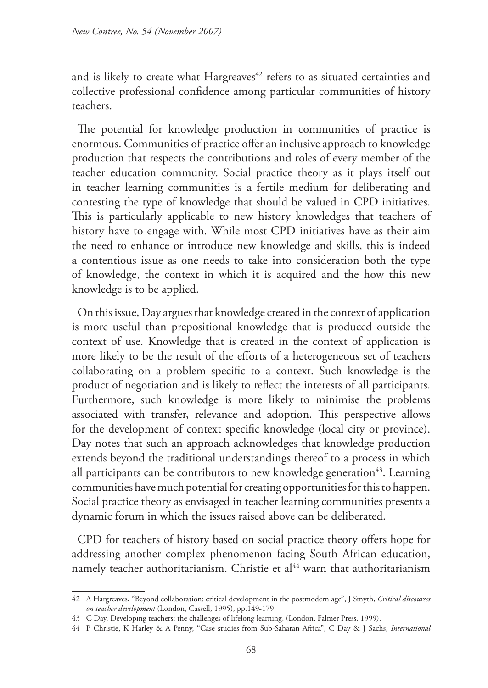and is likely to create what Hargreaves<sup>42</sup> refers to as situated certainties and collective professional confidence among particular communities of history teachers.

The potential for knowledge production in communities of practice is enormous. Communities of practice offer an inclusive approach to knowledge production that respects the contributions and roles of every member of the teacher education community. Social practice theory as it plays itself out in teacher learning communities is a fertile medium for deliberating and contesting the type of knowledge that should be valued in CPD initiatives. This is particularly applicable to new history knowledges that teachers of history have to engage with. While most CPD initiatives have as their aim the need to enhance or introduce new knowledge and skills, this is indeed a contentious issue as one needs to take into consideration both the type of knowledge, the context in which it is acquired and the how this new knowledge is to be applied.

On this issue, Day argues that knowledge created in the context of application is more useful than prepositional knowledge that is produced outside the context of use. Knowledge that is created in the context of application is more likely to be the result of the efforts of a heterogeneous set of teachers collaborating on a problem specific to a context. Such knowledge is the product of negotiation and is likely to reflect the interests of all participants. Furthermore, such knowledge is more likely to minimise the problems associated with transfer, relevance and adoption. This perspective allows for the development of context specific knowledge (local city or province). Day notes that such an approach acknowledges that knowledge production extends beyond the traditional understandings thereof to a process in which all participants can be contributors to new knowledge generation $43$ . Learning communities have much potential for creating opportunities for this to happen. Social practice theory as envisaged in teacher learning communities presents a dynamic forum in which the issues raised above can be deliberated.

CPD for teachers of history based on social practice theory offers hope for addressing another complex phenomenon facing South African education, namely teacher authoritarianism. Christie et al<sup>44</sup> warn that authoritarianism

<sup>42</sup> A Hargreaves, "Beyond collaboration: critical development in the postmodern age", J Smyth, *Critical discourses on teacher development* (London, Cassell, 1995), pp.149-179.

<sup>43</sup> C Day, Developing teachers: the challenges of lifelong learning, (London, Falmer Press, 1999).

<sup>44</sup> P Christie, K Harley & A Penny, "Case studies from Sub-Saharan Africa", C Day & J Sachs, *International*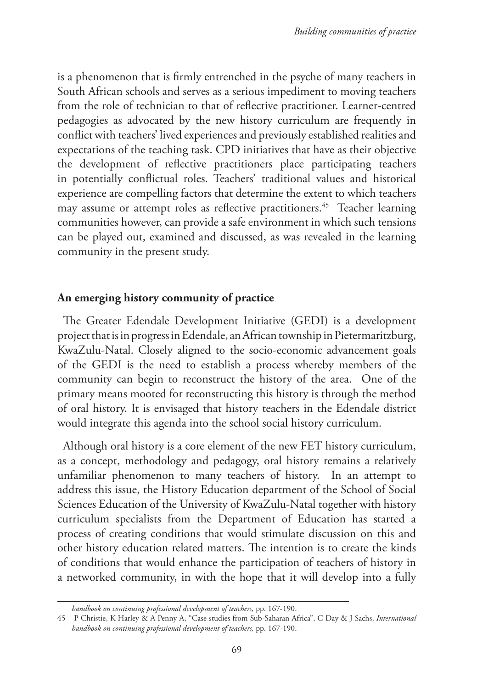is a phenomenon that is firmly entrenched in the psyche of many teachers in South African schools and serves as a serious impediment to moving teachers from the role of technician to that of reflective practitioner. Learner-centred pedagogies as advocated by the new history curriculum are frequently in conflict with teachers' lived experiences and previously established realities and expectations of the teaching task. CPD initiatives that have as their objective the development of reflective practitioners place participating teachers in potentially conflictual roles. Teachers' traditional values and historical experience are compelling factors that determine the extent to which teachers may assume or attempt roles as reflective practitioners.<sup>45</sup> Teacher learning communities however, can provide a safe environment in which such tensions can be played out, examined and discussed, as was revealed in the learning community in the present study.

#### **An emerging history community of practice**

The Greater Edendale Development Initiative (GEDI) is a development project that is in progress in Edendale, an African township in Pietermaritzburg, KwaZulu-Natal. Closely aligned to the socio-economic advancement goals of the GEDI is the need to establish a process whereby members of the community can begin to reconstruct the history of the area. One of the primary means mooted for reconstructing this history is through the method of oral history. It is envisaged that history teachers in the Edendale district would integrate this agenda into the school social history curriculum.

Although oral history is a core element of the new FET history curriculum, as a concept, methodology and pedagogy, oral history remains a relatively unfamiliar phenomenon to many teachers of history. In an attempt to address this issue, the History Education department of the School of Social Sciences Education of the University of KwaZulu-Natal together with history curriculum specialists from the Department of Education has started a process of creating conditions that would stimulate discussion on this and other history education related matters. The intention is to create the kinds of conditions that would enhance the participation of teachers of history in a networked community, in with the hope that it will develop into a fully

*handbook on continuing professional development of teachers,* pp. 167-190.

<sup>45</sup> P Christie, K Harley & A Penny A, "Case studies from Sub-Saharan Africa", C Day & J Sachs, *International handbook on continuing professional development of teachers,* pp. 167-190.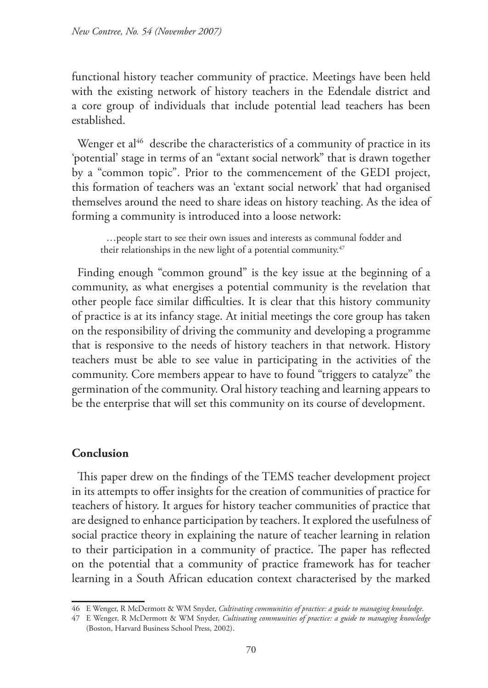functional history teacher community of practice. Meetings have been held with the existing network of history teachers in the Edendale district and a core group of individuals that include potential lead teachers has been established.

Wenger et al<sup>46</sup> describe the characteristics of a community of practice in its 'potential' stage in terms of an "extant social network" that is drawn together by a "common topic". Prior to the commencement of the GEDI project, this formation of teachers was an 'extant social network' that had organised themselves around the need to share ideas on history teaching. As the idea of forming a community is introduced into a loose network:

…people start to see their own issues and interests as communal fodder and their relationships in the new light of a potential community.<sup>47</sup>

Finding enough "common ground" is the key issue at the beginning of a community, as what energises a potential community is the revelation that other people face similar difficulties. It is clear that this history community of practice is at its infancy stage. At initial meetings the core group has taken on the responsibility of driving the community and developing a programme that is responsive to the needs of history teachers in that network. History teachers must be able to see value in participating in the activities of the community. Core members appear to have to found "triggers to catalyze" the germination of the community. Oral history teaching and learning appears to be the enterprise that will set this community on its course of development.

### **Conclusion**

This paper drew on the findings of the TEMS teacher development project in its attempts to offer insights for the creation of communities of practice for teachers of history. It argues for history teacher communities of practice that are designed to enhance participation by teachers. It explored the usefulness of social practice theory in explaining the nature of teacher learning in relation to their participation in a community of practice. The paper has reflected on the potential that a community of practice framework has for teacher learning in a South African education context characterised by the marked

<sup>46</sup> E Wenger, R McDermott & WM Snyder, *Cultivating communities of practice: a guide to managing knowledge.*

<sup>47</sup> E Wenger, R McDermott & WM Snyder, *Cultivating communities of practice: a guide to managing knowledge* (Boston, Harvard Business School Press, 2002).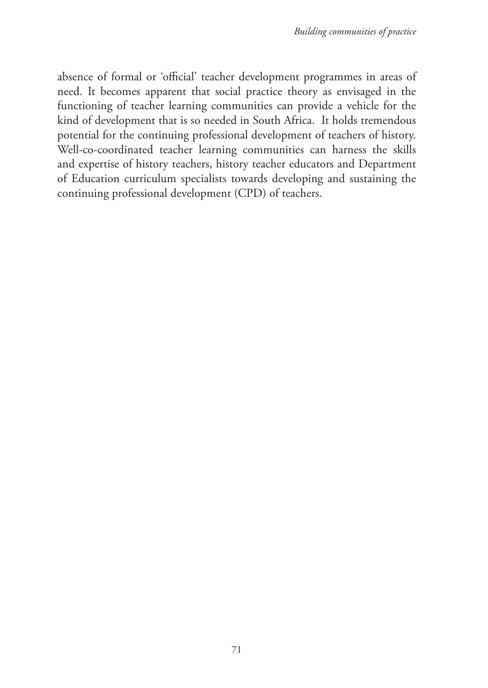absence of formal or 'official' teacher development programmes in areas of need. It becomes apparent that social practice theory as envisaged in the functioning of teacher learning communities can provide a vehicle for the kind of development that is so needed in South Africa. It holds tremendous potential for the continuing professional development of teachers of history. Well-co-coordinated teacher learning communities can harness the skills and expertise of history teachers, history teacher educators and Department of Education curriculum specialists towards developing and sustaining the continuing professional development (CPD) of teachers.